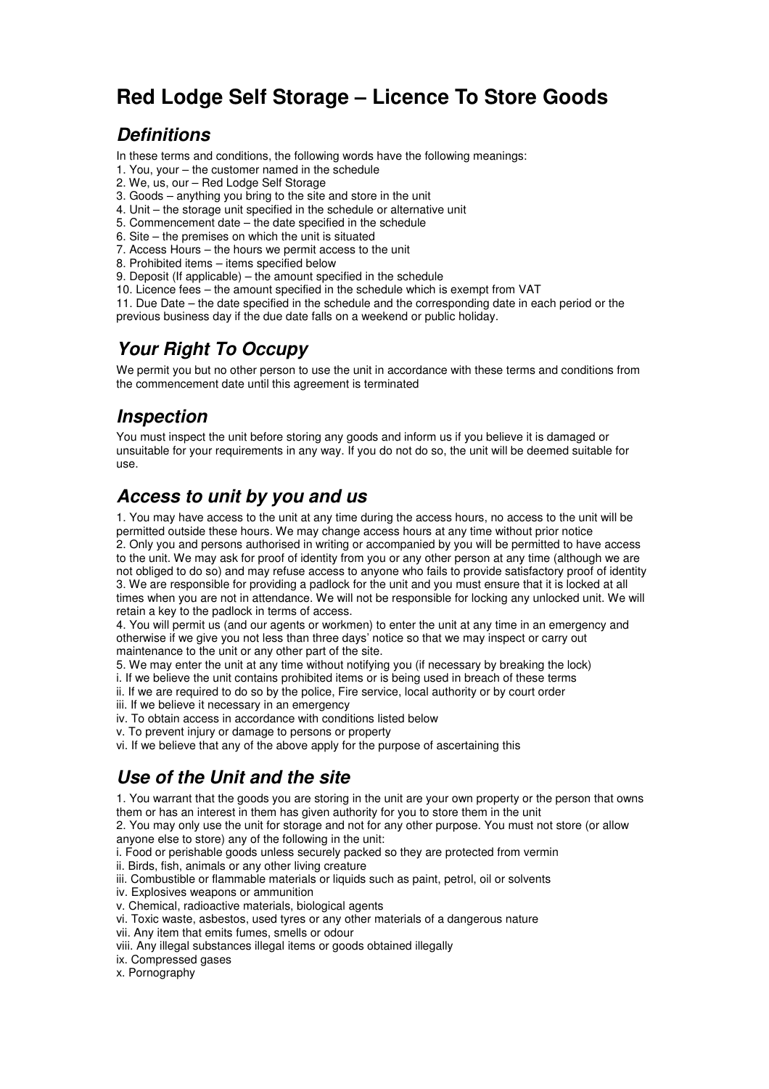# **Red Lodge Self Storage – Licence To Store Goods**

### **Definitions**

In these terms and conditions, the following words have the following meanings:

- 1. You, your the customer named in the schedule
- 2. We, us, our Red Lodge Self Storage
- 3. Goods anything you bring to the site and store in the unit
- 4. Unit the storage unit specified in the schedule or alternative unit
- 5. Commencement date the date specified in the schedule
- 6. Site the premises on which the unit is situated
- 7. Access Hours the hours we permit access to the unit
- 8. Prohibited items items specified below
- 9. Deposit (If applicable) the amount specified in the schedule 10. Licence fees – the amount specified in the schedule which is exempt from VAT

11. Due Date – the date specified in the schedule and the corresponding date in each period or the previous business day if the due date falls on a weekend or public holiday.

## **Your Right To Occupy**

We permit you but no other person to use the unit in accordance with these terms and conditions from the commencement date until this agreement is terminated

#### **Inspection**

You must inspect the unit before storing any goods and inform us if you believe it is damaged or unsuitable for your requirements in any way. If you do not do so, the unit will be deemed suitable for use.

#### **Access to unit by you and us**

1. You may have access to the unit at any time during the access hours, no access to the unit will be permitted outside these hours. We may change access hours at any time without prior notice 2. Only you and persons authorised in writing or accompanied by you will be permitted to have access to the unit. We may ask for proof of identity from you or any other person at any time (although we are not obliged to do so) and may refuse access to anyone who fails to provide satisfactory proof of identity 3. We are responsible for providing a padlock for the unit and you must ensure that it is locked at all times when you are not in attendance. We will not be responsible for locking any unlocked unit. We will retain a key to the padlock in terms of access.

4. You will permit us (and our agents or workmen) to enter the unit at any time in an emergency and otherwise if we give you not less than three days' notice so that we may inspect or carry out maintenance to the unit or any other part of the site.

5. We may enter the unit at any time without notifying you (if necessary by breaking the lock)

- i. If we believe the unit contains prohibited items or is being used in breach of these terms
- ii. If we are required to do so by the police, Fire service, local authority or by court order
- iii. If we believe it necessary in an emergency
- iv. To obtain access in accordance with conditions listed below
- v. To prevent injury or damage to persons or property
- vi. If we believe that any of the above apply for the purpose of ascertaining this

# **Use of the Unit and the site**

1. You warrant that the goods you are storing in the unit are your own property or the person that owns them or has an interest in them has given authority for you to store them in the unit

2. You may only use the unit for storage and not for any other purpose. You must not store (or allow anyone else to store) any of the following in the unit:

i. Food or perishable goods unless securely packed so they are protected from vermin

ii. Birds, fish, animals or any other living creature

- iii. Combustible or flammable materials or liquids such as paint, petrol, oil or solvents
- iv. Explosives weapons or ammunition

v. Chemical, radioactive materials, biological agents

vi. Toxic waste, asbestos, used tyres or any other materials of a dangerous nature

vii. Any item that emits fumes, smells or odour

viii. Any illegal substances illegal items or goods obtained illegally

ix. Compressed gases

x. Pornography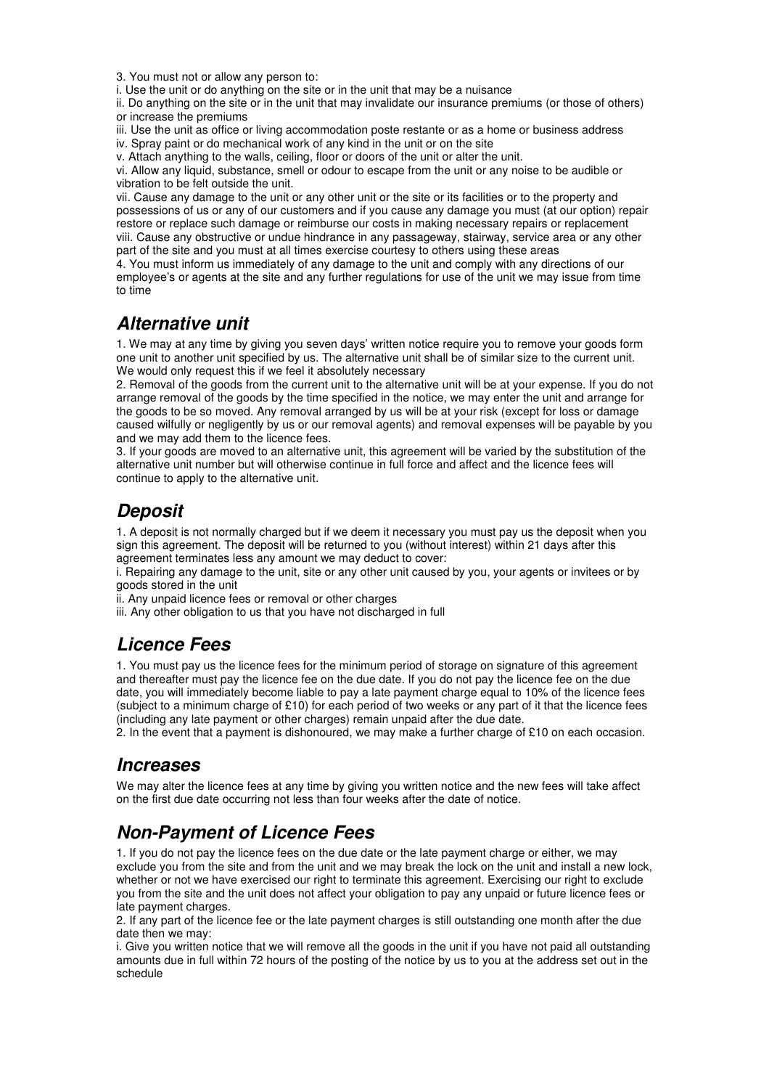3. You must not or allow any person to:

i. Use the unit or do anything on the site or in the unit that may be a nuisance

ii. Do anything on the site or in the unit that may invalidate our insurance premiums (or those of others) or increase the premiums

iii. Use the unit as office or living accommodation poste restante or as a home or business address

iv. Spray paint or do mechanical work of any kind in the unit or on the site

v. Attach anything to the walls, ceiling, floor or doors of the unit or alter the unit.

vi. Allow any liquid, substance, smell or odour to escape from the unit or any noise to be audible or vibration to be felt outside the unit.

vii. Cause any damage to the unit or any other unit or the site or its facilities or to the property and possessions of us or any of our customers and if you cause any damage you must (at our option) repair restore or replace such damage or reimburse our costs in making necessary repairs or replacement viii. Cause any obstructive or undue hindrance in any passageway, stairway, service area or any other part of the site and you must at all times exercise courtesy to others using these areas

4. You must inform us immediately of any damage to the unit and comply with any directions of our employee's or agents at the site and any further regulations for use of the unit we may issue from time to time

#### **Alternative unit**

1. We may at any time by giving you seven days' written notice require you to remove your goods form one unit to another unit specified by us. The alternative unit shall be of similar size to the current unit. We would only request this if we feel it absolutely necessary

2. Removal of the goods from the current unit to the alternative unit will be at your expense. If you do not arrange removal of the goods by the time specified in the notice, we may enter the unit and arrange for the goods to be so moved. Any removal arranged by us will be at your risk (except for loss or damage caused wilfully or negligently by us or our removal agents) and removal expenses will be payable by you and we may add them to the licence fees.

3. If your goods are moved to an alternative unit, this agreement will be varied by the substitution of the alternative unit number but will otherwise continue in full force and affect and the licence fees will continue to apply to the alternative unit.

## **Deposit**

1. A deposit is not normally charged but if we deem it necessary you must pay us the deposit when you sign this agreement. The deposit will be returned to you (without interest) within 21 days after this agreement terminates less any amount we may deduct to cover:

i. Repairing any damage to the unit, site or any other unit caused by you, your agents or invitees or by goods stored in the unit

ii. Any unpaid licence fees or removal or other charges

iii. Any other obligation to us that you have not discharged in full

### **Licence Fees**

1. You must pay us the licence fees for the minimum period of storage on signature of this agreement and thereafter must pay the licence fee on the due date. If you do not pay the licence fee on the due date, you will immediately become liable to pay a late payment charge equal to 10% of the licence fees (subject to a minimum charge of £10) for each period of two weeks or any part of it that the licence fees (including any late payment or other charges) remain unpaid after the due date.

2. In the event that a payment is dishonoured, we may make a further charge of £10 on each occasion.

#### **Increases**

We may alter the licence fees at any time by giving you written notice and the new fees will take affect on the first due date occurring not less than four weeks after the date of notice.

# **Non-Payment of Licence Fees**

1. If you do not pay the licence fees on the due date or the late payment charge or either, we may exclude you from the site and from the unit and we may break the lock on the unit and install a new lock, whether or not we have exercised our right to terminate this agreement. Exercising our right to exclude you from the site and the unit does not affect your obligation to pay any unpaid or future licence fees or late payment charges.

2. If any part of the licence fee or the late payment charges is still outstanding one month after the due date then we may:

i. Give you written notice that we will remove all the goods in the unit if you have not paid all outstanding amounts due in full within 72 hours of the posting of the notice by us to you at the address set out in the schedule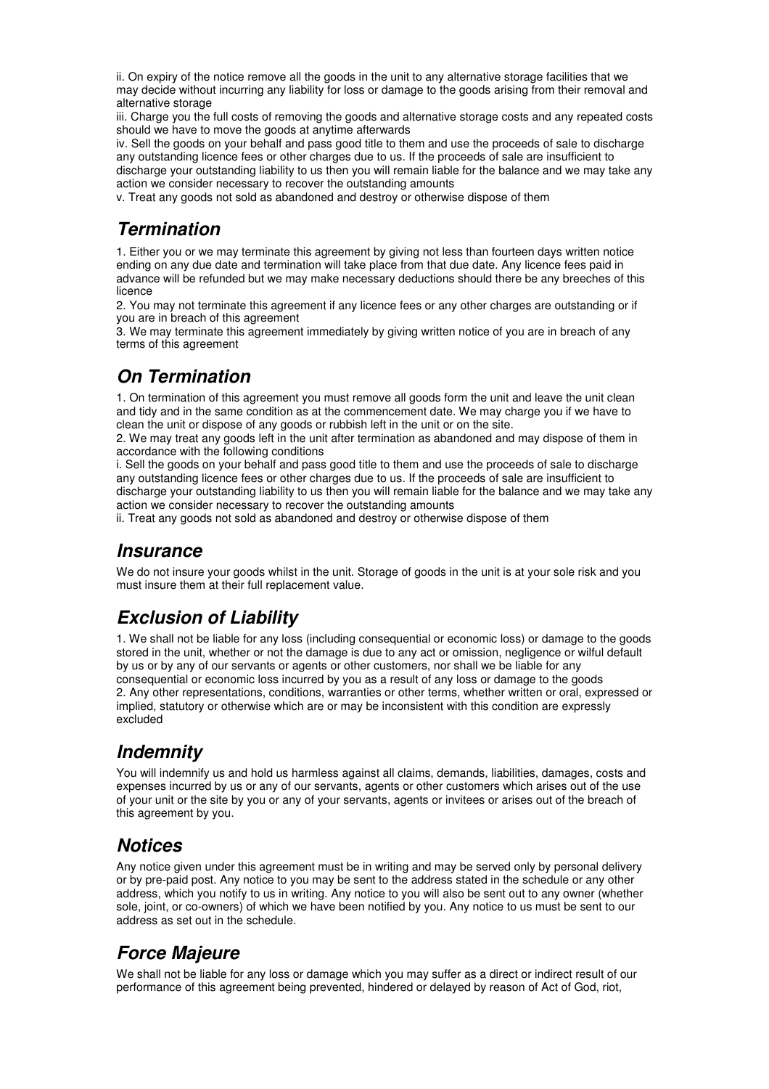ii. On expiry of the notice remove all the goods in the unit to any alternative storage facilities that we may decide without incurring any liability for loss or damage to the goods arising from their removal and alternative storage

iii. Charge you the full costs of removing the goods and alternative storage costs and any repeated costs should we have to move the goods at anytime afterwards

iv. Sell the goods on your behalf and pass good title to them and use the proceeds of sale to discharge any outstanding licence fees or other charges due to us. If the proceeds of sale are insufficient to discharge your outstanding liability to us then you will remain liable for the balance and we may take any action we consider necessary to recover the outstanding amounts

v. Treat any goods not sold as abandoned and destroy or otherwise dispose of them

#### **Termination**

1. Either you or we may terminate this agreement by giving not less than fourteen days written notice ending on any due date and termination will take place from that due date. Any licence fees paid in advance will be refunded but we may make necessary deductions should there be any breeches of this licence

2. You may not terminate this agreement if any licence fees or any other charges are outstanding or if you are in breach of this agreement

3. We may terminate this agreement immediately by giving written notice of you are in breach of any terms of this agreement

# **On Termination**

1. On termination of this agreement you must remove all goods form the unit and leave the unit clean and tidy and in the same condition as at the commencement date. We may charge you if we have to clean the unit or dispose of any goods or rubbish left in the unit or on the site.

2. We may treat any goods left in the unit after termination as abandoned and may dispose of them in accordance with the following conditions

i. Sell the goods on your behalf and pass good title to them and use the proceeds of sale to discharge any outstanding licence fees or other charges due to us. If the proceeds of sale are insufficient to discharge your outstanding liability to us then you will remain liable for the balance and we may take any action we consider necessary to recover the outstanding amounts

ii. Treat any goods not sold as abandoned and destroy or otherwise dispose of them

#### **Insurance**

We do not insure your goods whilst in the unit. Storage of goods in the unit is at your sole risk and you must insure them at their full replacement value.

# **Exclusion of Liability**

1. We shall not be liable for any loss (including consequential or economic loss) or damage to the goods stored in the unit, whether or not the damage is due to any act or omission, negligence or wilful default by us or by any of our servants or agents or other customers, nor shall we be liable for any consequential or economic loss incurred by you as a result of any loss or damage to the goods 2. Any other representations, conditions, warranties or other terms, whether written or oral, expressed or implied, statutory or otherwise which are or may be inconsistent with this condition are expressly excluded

# **Indemnity**

You will indemnify us and hold us harmless against all claims, demands, liabilities, damages, costs and expenses incurred by us or any of our servants, agents or other customers which arises out of the use of your unit or the site by you or any of your servants, agents or invitees or arises out of the breach of this agreement by you.

### **Notices**

Any notice given under this agreement must be in writing and may be served only by personal delivery or by pre-paid post. Any notice to you may be sent to the address stated in the schedule or any other address, which you notify to us in writing. Any notice to you will also be sent out to any owner (whether sole, joint, or co-owners) of which we have been notified by you. Any notice to us must be sent to our address as set out in the schedule.

### **Force Majeure**

We shall not be liable for any loss or damage which you may suffer as a direct or indirect result of our performance of this agreement being prevented, hindered or delayed by reason of Act of God, riot,